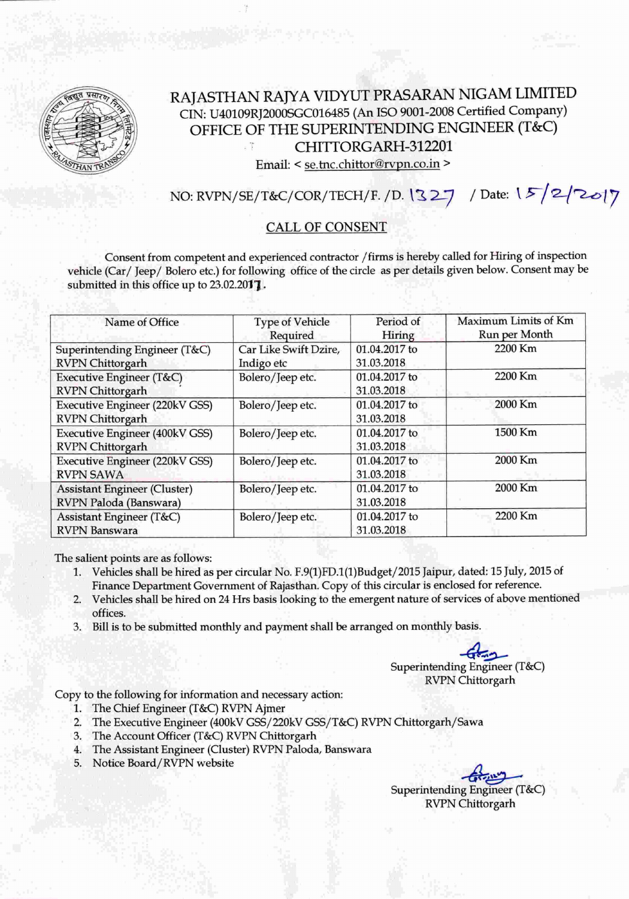

## RAJASTHAN RAJYA VIDYUT PRASARAN NIGAM LIMITED CIN: U40109RJ2000SGC016485 (An ISO 9001-2008 Certified Company) OFFICE OF THE SUPERINTENDING ENGINEER (T&C) CHlTIORGARH-312201

Email: < se.tnc.chittor@rvpn.co.in >

NO: RVPN/SE/T&C/COR/TECH/F. /D. \ <sup>~</sup> L.-7 *I* Date: \ *!>/Q\_/~-/7*

#### CALL OF CONSENT

Consent from competent and experienced contractor / firms is hereby called for Hiring of inspection vehicle (Car/ Jeep/ Bolero etc.) for following office of the circle as per details given below. Consent may be submitted in this office up to 23.02.2017.

| Name of Office                                                   | <b>Type of Vehicle</b><br>Required  | Period of<br>Hiring         | Maximum Limits of Km<br>Run per Month |
|------------------------------------------------------------------|-------------------------------------|-----------------------------|---------------------------------------|
| Superintending Engineer (T&C)<br><b>RVPN</b> Chittorgarh         | Car Like Swift Dzire,<br>Indigo etc | 01.04.2017 to<br>31.03.2018 | 2200 Km                               |
| Executive Engineer (T&C)<br><b>RVPN</b> Chittorgarh              | Bolero/Jeep etc.                    | 01.04.2017 to<br>31.03.2018 | 2200 Km                               |
| <b>Executive Engineer (220kV GSS)</b><br><b>RVPN</b> Chittorgarh | Bolero/Jeep etc.                    | 01.04.2017 to<br>31.03.2018 | 2000 Km                               |
| <b>Executive Engineer (400kV GSS)</b><br><b>RVPN</b> Chittorgarh | Bolero/Jeep etc.                    | 01.04.2017 to<br>31.03.2018 | 1500 Km                               |
| Executive Engineer (220kV GSS)<br><b>RVPN SAWA</b>               | Bolero/Jeep etc.                    | 01.04.2017 to<br>31.03.2018 | 2000 Km                               |
| <b>Assistant Engineer (Cluster)</b><br>RVPN Paloda (Banswara)    | Bolero/Jeep etc.                    | 01.04.2017 to<br>31.03.2018 | 2000 Km                               |
| Assistant Engineer (T&C)<br><b>RVPN</b> Banswara                 | Bolero/Jeep etc.                    | 01.04.2017 to<br>31.03.2018 | 2200 Km                               |

The salient points are as follows:

- 1. Vehicles shall be hired as per circular No. E9(1)FD.l(1)Budget/2015 Jaipur, dated: 15July, 2015of Finance Department Government of Rajasthan. Copy of this circular is enclosed for reference.
- 2. Vehicles shall be hired on 24 Hrs basis looking to the emergent nature of services of above mentioned offices.
- 3. Bill is to be submitted monthly and payment shall be arranged on monthly basis.

 $\overline{\phantom{a}}$ Superintending Engineer (T&C) RVPN Chittorgarh

Copy to the following for information and necessary action:

- 1. The Chief Engineer (T&C) RVPN Ajmer
- 2. The Executive Engineer (400kVGSS/220kV GSS/T&C) RVPN Chittorgarh/Sawa
- 3. The Account Officer (T&C) RVPN Chittorgarh
- 4. The Assistant Engineer (Cluster) RVPN Paloda, Banswara
- 5. Notice Board/RVPN website

- Cor - 110 Superintending Engineer (T&C) RVPN Chittorgarh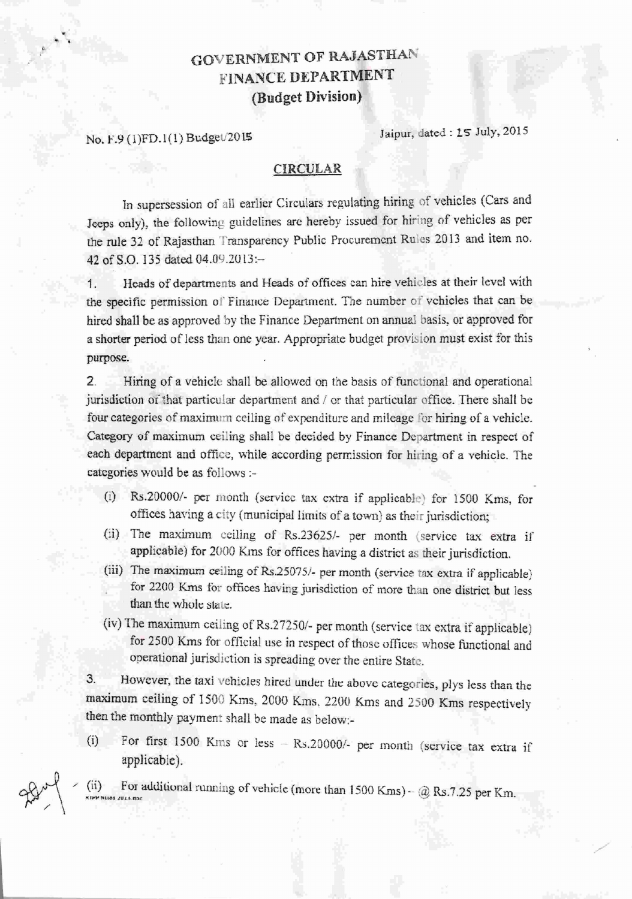# GOVERNMENT OF RAJASTHAN **FINANCE DEPARTMENT (Budget Division)**

No. F.9 (1)FD.1(1) Budget/2015 Jaipur, dated: 15 July, 2015

.. ..

28

#### CIRCULAR

In supersession of all earlier Circulars regulating hiring of vehicles (Cars and Jeeps only), the following guidelines are hereby issued for hiring of vehicles as per the rule 32 of Rajasthan Transparency Public Procurement Rules 2013 and item no. 42 of S.O. 135 dated 04.09.2013:-

1. Heads of departments and Heads of offices can hire vehicles at their level with the specific permission of Finance Department. The number of vehicles that can be hired shall be as approved by the Finance Department on annual basis, or approved for a shorter period of less than one year. Appropriate budget provision must exist for this purpose.

2. Hiring of a vehicle shall be allowed on the basis of functional and operational jurisdiction or that particular department and / or that particular office. There shall be four categories of maximum ceiling of expenditure and mileage for hiring of a vehicle. Category of maximum ceiling shall be decided by Finance Department in respect of each department and office, while according permission for hiring of a vehicle, The categories would be as follows ;-

- (i) *Rs.200001·* per month (service tax extra if applicable) for 1500 Kms, for offices having a city (municipal limits of a town) as their jurisdiction;
- (ii) The maximum ceiling of Rs.23625/- per month (service tax extra if applicable) for 2000 Kms for offices having a district as their jurisdiction.
- (iii) The maximum ceiling of *Rs.25075/-* per month (service tax extra if applicable) for 2200 Kms for offices having jurisdiction of more than one district but less than the whole state.
- (iv) The maximum ceiling of Rs.27250/- per month (service tax extra if applicable) for 2500 Kms for official use in respect of those offices whose functional and operational jurisdiction is spreading over the entire State.

3. However, the taxi vehicles hired under the above categories, plys less than the maximum ceiling of 1500 Kms, 2000 Kms, 2200 Kms and 2500 Kms respectively then the monthly payment shall be made as below:-

(i) For first 1500 Kms or less  $-$  Rs.20000/- per month (service tax extra if applicable).

 $(i)$  For additional running of vehicle (more than 1500 Kms)  $\circleda$  Rs.7.25 per Km.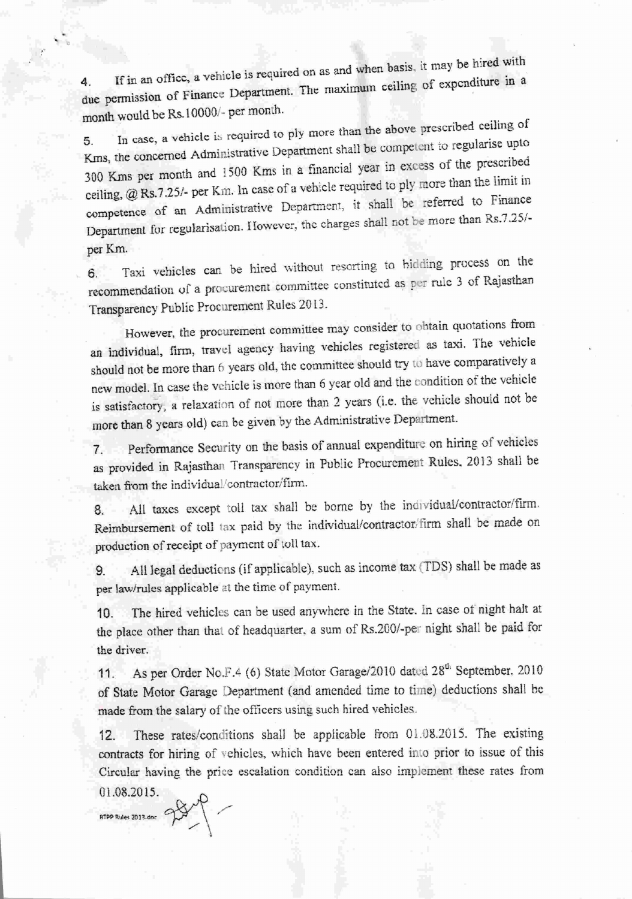$\mu$  is the sign of fice, a vehicle is required on as and when basis, it may be hired with 4. If in an office, a venicle is required on as the maximum ceiling of expenditure in a due permission of Finance Department. The maximum ceiling of expenditure in a month would be Rs.l 0000/- per momh.

5. In case, a vehicle is required to ply more than the above prescribed ceiling of Kms, the concerned Administrative Department shall be competent to regularise upto 300 Krns per month and l500 Kms in a financial year in excess of the prescribed ceiling, @ Rs.7.25/- per Km. In case of a vehicle required to ply more than the limit in competence of an Administrative Department, it shall be referred to Finance Department for regularisation. However, the charges shall not be more than Rs.7.25/per Km.

6. Taxi vehicles can be hired without resorting to hidding process on the recommendation of a procurement committee constituted as per rule 3 of Rajasthan Transparency Public Procurement Rules 20 l3.

However, the procurement committee may consider to obtain quotations from an individual, firm, travel agency having vehicles registered as taxi. The vehicle should not be more than 6 years old, the committee should try to have comparatively a new model. In case the vehicle is more than 6 year old and the condition of the vehicle is satisfactory, a relaxation of not more than 2 years (i.e. the vehicle should not be more than 8 years old) can be given by the Administrative Department.

7. Perfonnance Security on the basis of annual expenditure on hiring of vehicles as provided in Rajasthan Transparency in Public Procurement Rules. 2013 shall be taken from the individual/contractor/firm.

8. All taxes except toll tax shall be borne by the individual/contractor/firm. Reimbursement of toll tax paid by the individual/contractor/firm shall be made on production of receipt of payment of toll tax.

9. All legal deductions (if applicable), such as income tax (TDS) shall be made as per law/rules applicable at the time of payment.

10. The hired vehicles can he used anywhere in the State. In case of night halt at the place other than that of headquarter, a sum of Rs.200/-per night shall be paid for the driver.

11. As per Order No.F.4 (6) State Motor Garage/2010 dated 28<sup>th</sup> September, 2010 of State Motor Garage Department (and amended time to time) deductions shall be made from the salary of the officers using such hired vehicles

12. These rates/conditions shall be applicable from 01.08.2015. The existing contracts for hiring of vehicles, which have been entered into prior to issue of this Circular having the price escalation condition can also implement these rates from 01.08.2015.

*.~""'.-~., cf:Y/" \ ,/*